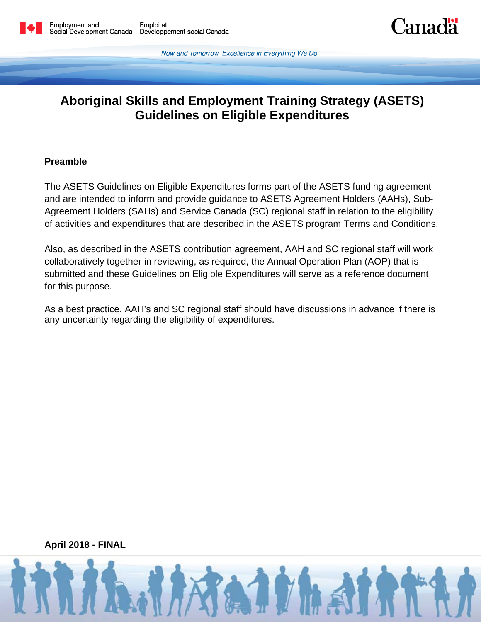Now and Tomorrow, Excellence in Everything We Do

**Lanada** 

# **Aboriginal Skills and Employment Training Strategy (ASETS) Guidelines on Eligible Expenditures**

#### **Preamble**

The ASETS Guidelines on Eligible Expenditures forms part of the ASETS funding agreement and are intended to inform and provide guidance to ASETS Agreement Holders (AAHs), Sub-Agreement Holders (SAHs) and Service Canada (SC) regional staff in relation to the eligibility of activities and expenditures that are described in the ASETS program Terms and Conditions.

Also, as described in the ASETS contribution agreement, AAH and SC regional staff will work collaboratively together in reviewing, as required, the Annual Operation Plan (AOP) that is submitted and these Guidelines on Eligible Expenditures will serve as a reference document for this purpose.

As a best practice, AAH's and SC regional staff should have discussions in advance if there is any uncertainty regarding the eligibility of expenditures.

**April 2018 - FINAL**

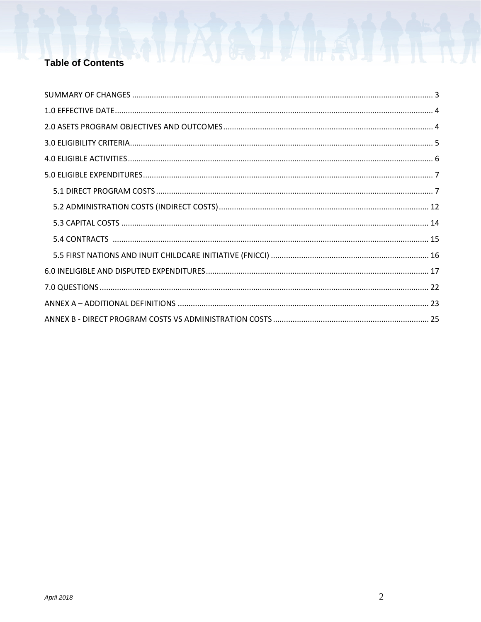## **Table of Contents**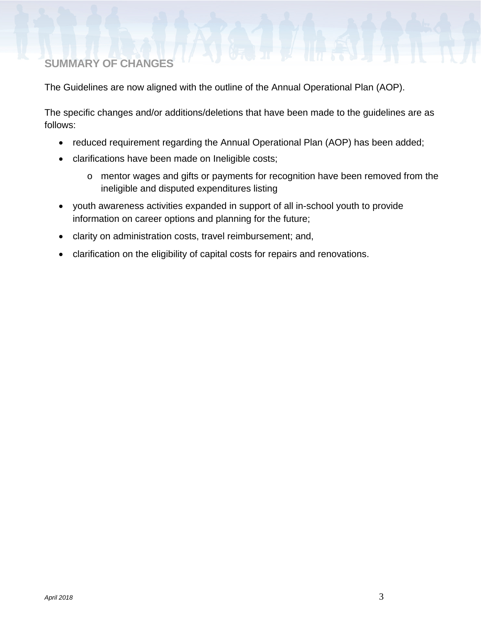# <span id="page-2-0"></span>**SUMMARY OF CHANGES**

The Guidelines are now aligned with the outline of the Annual Operational Plan (AOP).

The specific changes and/or additions/deletions that have been made to the guidelines are as follows:

- reduced requirement regarding the Annual Operational Plan (AOP) has been added;
- clarifications have been made on Ineligible costs;
	- o mentor wages and gifts or payments for recognition have been removed from the ineligible and disputed expenditures listing
- youth awareness activities expanded in support of all in-school youth to provide information on career options and planning for the future;
- clarity on administration costs, travel reimbursement; and,
- clarification on the eligibility of capital costs for repairs and renovations.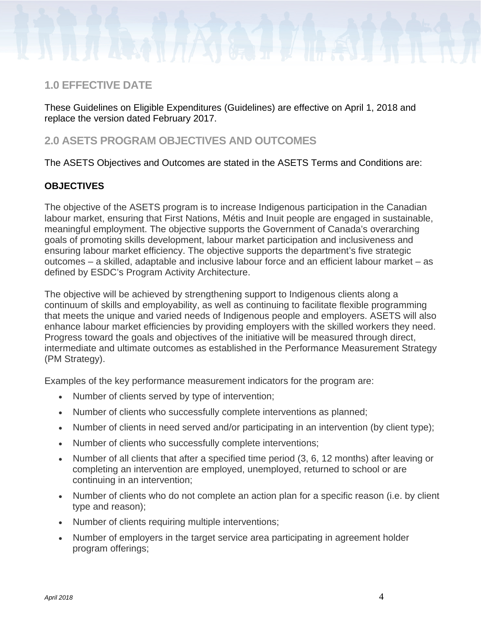## <span id="page-3-0"></span>**1.0 EFFECTIVE DATE**

These Guidelines on Eligible Expenditures (Guidelines) are effective on April 1, 2018 and replace the version dated February 2017.

## <span id="page-3-1"></span>**2.0 ASETS PROGRAM OBJECTIVES AND OUTCOMES**

The ASETS Objectives and Outcomes are stated in the ASETS Terms and Conditions are:

### **OBJECTIVES**

The objective of the ASETS program is to increase Indigenous participation in the Canadian labour market, ensuring that First Nations, Métis and Inuit people are engaged in sustainable, meaningful employment. The objective supports the Government of Canada's overarching goals of promoting skills development, labour market participation and inclusiveness and ensuring labour market efficiency. The objective supports the department's five strategic outcomes – a skilled, adaptable and inclusive labour force and an efficient labour market – as defined by ESDC's Program Activity Architecture.

The objective will be achieved by strengthening support to Indigenous clients along a continuum of skills and employability, as well as continuing to facilitate flexible programming that meets the unique and varied needs of Indigenous people and employers. ASETS will also enhance labour market efficiencies by providing employers with the skilled workers they need. Progress toward the goals and objectives of the initiative will be measured through direct, intermediate and ultimate outcomes as established in the Performance Measurement Strategy (PM Strategy).

Examples of the key performance measurement indicators for the program are:

- Number of clients served by type of intervention;
- Number of clients who successfully complete interventions as planned;
- Number of clients in need served and/or participating in an intervention (by client type);
- Number of clients who successfully complete interventions;
- Number of all clients that after a specified time period (3, 6, 12 months) after leaving or completing an intervention are employed, unemployed, returned to school or are continuing in an intervention;
- Number of clients who do not complete an action plan for a specific reason (i.e. by client type and reason);
- Number of clients requiring multiple interventions;
- Number of employers in the target service area participating in agreement holder program offerings;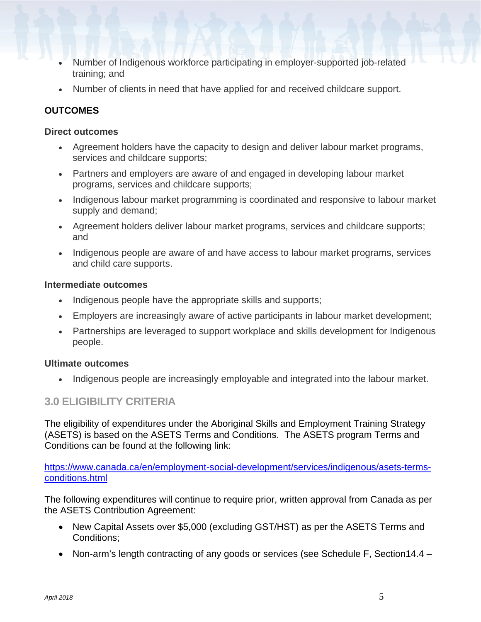- Number of Indigenous workforce participating in employer-supported job-related training; and
- Number of clients in need that have applied for and received childcare support.

### **OUTCOMES**

#### **Direct outcomes**

- Agreement holders have the capacity to design and deliver labour market programs, services and childcare supports;
- Partners and employers are aware of and engaged in developing labour market programs, services and childcare supports;
- Indigenous labour market programming is coordinated and responsive to labour market supply and demand;
- Agreement holders deliver labour market programs, services and childcare supports; and
- Indigenous people are aware of and have access to labour market programs, services and child care supports.

#### **Intermediate outcomes**

- Indigenous people have the appropriate skills and supports;
- Employers are increasingly aware of active participants in labour market development;
- Partnerships are leveraged to support workplace and skills development for Indigenous people.

#### **Ultimate outcomes**

• Indigenous people are increasingly employable and integrated into the labour market.

## <span id="page-4-0"></span>**3.0 ELIGIBILITY CRITERIA**

The eligibility of expenditures under the Aboriginal Skills and Employment Training Strategy (ASETS) is based on the ASETS Terms and Conditions. The ASETS program Terms and Conditions can be found at the following link:

[https://www.canada.ca/en/employment-social-development/services/indigenous/asets-terms](https://www.canada.ca/en/employment-social-development/services/indigenous/asets-terms-conditions.html)[conditions.html](https://www.canada.ca/en/employment-social-development/services/indigenous/asets-terms-conditions.html)

The following expenditures will continue to require prior, written approval from Canada as per the ASETS Contribution Agreement:

- New Capital Assets over \$5,000 (excluding GST/HST) as per the ASETS Terms and Conditions;
- Non-arm's length contracting of any goods or services (see Schedule F, Section14.4 –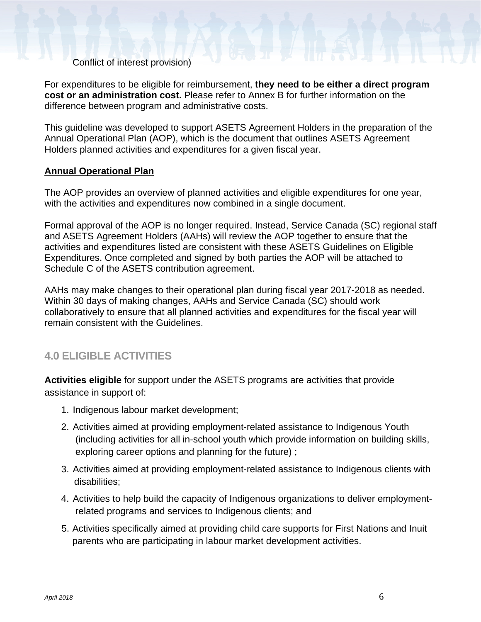Conflict of interest provision)

For expenditures to be eligible for reimbursement, **they need to be either a direct program cost or an administration cost.** Please refer to Annex B for further information on the difference between program and administrative costs.

This guideline was developed to support ASETS Agreement Holders in the preparation of the Annual Operational Plan (AOP), which is the document that outlines ASETS Agreement Holders planned activities and expenditures for a given fiscal year.

#### **Annual Operational Plan**

The AOP provides an overview of planned activities and eligible expenditures for one year, with the activities and expenditures now combined in a single document.

Formal approval of the AOP is no longer required. Instead, Service Canada (SC) regional staff and ASETS Agreement Holders (AAHs) will review the AOP together to ensure that the activities and expenditures listed are consistent with these ASETS Guidelines on Eligible Expenditures. Once completed and signed by both parties the AOP will be attached to Schedule C of the ASETS contribution agreement.

AAHs may make changes to their operational plan during fiscal year 2017-2018 as needed. Within 30 days of making changes, AAHs and Service Canada (SC) should work collaboratively to ensure that all planned activities and expenditures for the fiscal year will remain consistent with the Guidelines.

## <span id="page-5-0"></span>**4.0 ELIGIBLE ACTIVITIES**

**Activities eligible** for support under the ASETS programs are activities that provide assistance in support of:

- 1. Indigenous labour market development;
- 2. Activities aimed at providing employment-related assistance to Indigenous Youth (including activities for all in-school youth which provide information on building skills, exploring career options and planning for the future) ;
- 3. Activities aimed at providing employment-related assistance to Indigenous clients with disabilities;
- 4. Activities to help build the capacity of Indigenous organizations to deliver employmentrelated programs and services to Indigenous clients; and
- 5. Activities specifically aimed at providing child care supports for First Nations and Inuit parents who are participating in labour market development activities.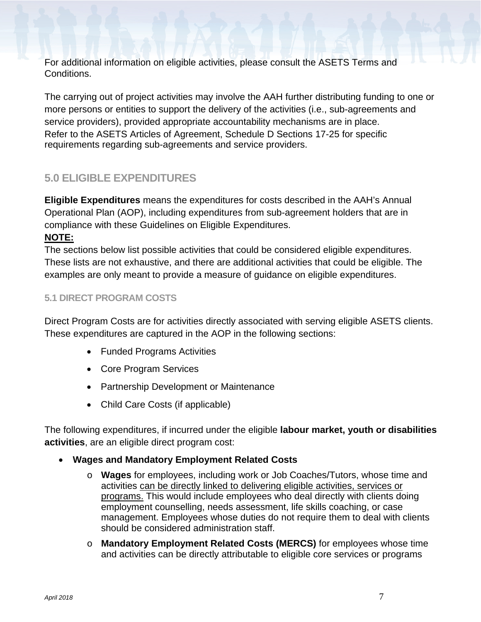For additional information on eligible activities, please consult the ASETS Terms and Conditions.

The carrying out of project activities may involve the AAH further distributing funding to one or more persons or entities to support the delivery of the activities (i.e., sub-agreements and service providers), provided appropriate accountability mechanisms are in place. Refer to the ASETS Articles of Agreement, Schedule D Sections 17-25 for specific requirements regarding sub-agreements and service providers.

# <span id="page-6-0"></span>**5.0 ELIGIBLE EXPENDITURES**

**Eligible Expenditures** means the expenditures for costs described in the AAH's Annual Operational Plan (AOP), including expenditures from sub-agreement holders that are in compliance with these Guidelines on Eligible Expenditures.

## **NOTE:**

The sections below list possible activities that could be considered eligible expenditures. These lists are not exhaustive, and there are additional activities that could be eligible. The examples are only meant to provide a measure of guidance on eligible expenditures.

## <span id="page-6-1"></span>**5.1 DIRECT PROGRAM COSTS**

Direct Program Costs are for activities directly associated with serving eligible ASETS clients. These expenditures are captured in the AOP in the following sections:

- Funded Programs Activities
- Core Program Services
- Partnership Development or Maintenance
- Child Care Costs (if applicable)

The following expenditures, if incurred under the eligible **labour market, youth or disabilities activities**, are an eligible direct program cost:

- **Wages and Mandatory Employment Related Costs**
	- o **Wages** for employees, including work or Job Coaches/Tutors, whose time and activities can be directly linked to delivering eligible activities, services or programs. This would include employees who deal directly with clients doing employment counselling, needs assessment, life skills coaching, or case management. Employees whose duties do not require them to deal with clients should be considered administration staff.
	- o **Mandatory Employment Related Costs (MERCS)** for employees whose time and activities can be directly attributable to eligible core services or programs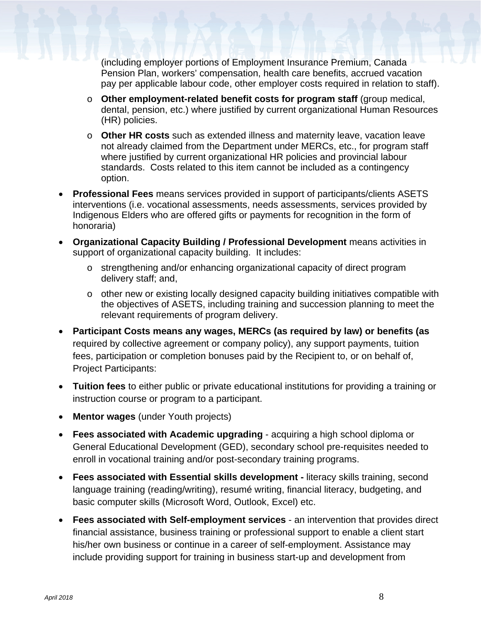(including employer portions of Employment Insurance Premium, Canada Pension Plan, workers' compensation, health care benefits, accrued vacation pay per applicable labour code, other employer costs required in relation to staff).

- o **Other employment-related benefit costs for program staff** (group medical, dental, pension, etc.) where justified by current organizational Human Resources (HR) policies.
- o **Other HR costs** such as extended illness and maternity leave, vacation leave not already claimed from the Department under MERCs, etc., for program staff where justified by current organizational HR policies and provincial labour standards. Costs related to this item cannot be included as a contingency option.
- **Professional Fees** means services provided in support of participants/clients ASETS interventions (i.e. vocational assessments, needs assessments, services provided by Indigenous Elders who are offered gifts or payments for recognition in the form of honoraria)
- **Organizational Capacity Building / Professional Development** means activities in support of organizational capacity building. It includes:
	- o strengthening and/or enhancing organizational capacity of direct program delivery staff; and,
	- o other new or existing locally designed capacity building initiatives compatible with the objectives of ASETS, including training and succession planning to meet the relevant requirements of program delivery.
- **Participant Costs means any wages, MERCs (as required by law) or benefits (as** required by collective agreement or company policy), any support payments, tuition fees, participation or completion bonuses paid by the Recipient to, or on behalf of, Project Participants:
- **Tuition fees** to either public or private educational institutions for providing a training or instruction course or program to a participant.
- **Mentor wages** (under Youth projects)
- **Fees associated with Academic upgrading** acquiring a high school diploma or General Educational Development (GED), secondary school pre-requisites needed to enroll in vocational training and/or post-secondary training programs.
- **Fees associated with Essential skills development -** literacy skills training, second language training (reading/writing), resumé writing, financial literacy, budgeting, and basic computer skills (Microsoft Word, Outlook, Excel) etc.
- **Fees associated with Self-employment services** an intervention that provides direct financial assistance, business training or professional support to enable a client start his/her own business or continue in a career of self-employment. Assistance may include providing support for training in business start-up and development from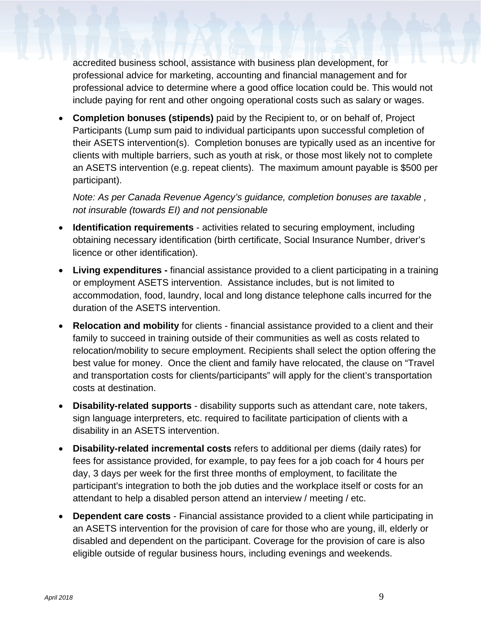accredited business school, assistance with business plan development, for professional advice for marketing, accounting and financial management and for professional advice to determine where a good office location could be. This would not include paying for rent and other ongoing operational costs such as salary or wages.

• **Completion bonuses (stipends)** paid by the Recipient to, or on behalf of, Project Participants (Lump sum paid to individual participants upon successful completion of their ASETS intervention(s). Completion bonuses are typically used as an incentive for clients with multiple barriers, such as youth at risk, or those most likely not to complete an ASETS intervention (e.g. repeat clients). The maximum amount payable is \$500 per participant).

*Note: As per Canada Revenue Agency's guidance, completion bonuses are taxable , not insurable (towards EI) and not pensionable*

- **Identification requirements** activities related to securing employment, including obtaining necessary identification (birth certificate, Social Insurance Number, driver's licence or other identification).
- **Living expenditures -** financial assistance provided to a client participating in a training or employment ASETS intervention. Assistance includes, but is not limited to accommodation, food, laundry, local and long distance telephone calls incurred for the duration of the ASETS intervention.
- **Relocation and mobility** for clients financial assistance provided to a client and their family to succeed in training outside of their communities as well as costs related to relocation/mobility to secure employment. Recipients shall select the option offering the best value for money. Once the client and family have relocated, the clause on "Travel and transportation costs for clients/participants" will apply for the client's transportation costs at destination.
- **Disability-related supports** disability supports such as attendant care, note takers, sign language interpreters, etc. required to facilitate participation of clients with a disability in an ASETS intervention.
- **Disability-related incremental costs** refers to additional per diems (daily rates) for fees for assistance provided, for example, to pay fees for a job coach for 4 hours per day, 3 days per week for the first three months of employment, to facilitate the participant's integration to both the job duties and the workplace itself or costs for an attendant to help a disabled person attend an interview / meeting / etc.
- **Dependent care costs** Financial assistance provided to a client while participating in an ASETS intervention for the provision of care for those who are young, ill, elderly or disabled and dependent on the participant. Coverage for the provision of care is also eligible outside of regular business hours, including evenings and weekends.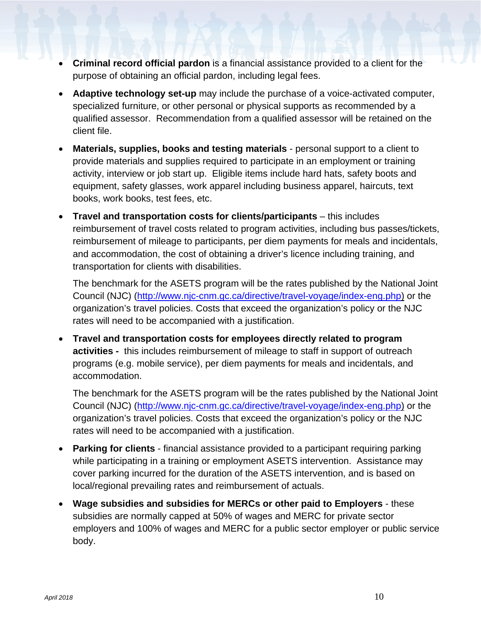- **Criminal record official pardon** is a financial assistance provided to a client for the purpose of obtaining an official pardon, including legal fees.
- **Adaptive technology set-up** may include the purchase of a voice-activated computer, specialized furniture, or other personal or physical supports as recommended by a qualified assessor. Recommendation from a qualified assessor will be retained on the client file.
- **Materials, supplies, books and testing materials** personal support to a client to provide materials and supplies required to participate in an employment or training activity, interview or job start up. Eligible items include hard hats, safety boots and equipment, safety glasses, work apparel including business apparel, haircuts, text books, work books, test fees, etc.
- **Travel and transportation costs for clients/participants** this includes reimbursement of travel costs related to program activities, including bus passes/tickets, reimbursement of mileage to participants, per diem payments for meals and incidentals, and accommodation, the cost of obtaining a driver's licence including training, and transportation for clients with disabilities.

The benchmark for the ASETS program will be the rates published by the National Joint Council (NJC) [\(http://www.njc-cnm.gc.ca/directive/travel-voyage/index-eng.php\)](http://www.njc-cnm.gc.ca/directive/travel-voyage/index-eng.php) or the organization's travel policies. Costs that exceed the organization's policy or the NJC rates will need to be accompanied with a justification.

• **Travel and transportation costs for employees directly related to program activities -** this includes reimbursement of mileage to staff in support of outreach programs (e.g. mobile service), per diem payments for meals and incidentals, and accommodation.

The benchmark for the ASETS program will be the rates published by the National Joint Council (NJC) [\(http://www.njc-cnm.gc.ca/directive/travel-voyage/index-eng.php\)](http://www.njc-cnm.gc.ca/directive/travel-voyage/index-eng.php) or the organization's travel policies. Costs that exceed the organization's policy or the NJC rates will need to be accompanied with a justification.

- **Parking for clients** financial assistance provided to a participant requiring parking while participating in a training or employment ASETS intervention. Assistance may cover parking incurred for the duration of the ASETS intervention, and is based on local/regional prevailing rates and reimbursement of actuals.
- **Wage subsidies and subsidies for MERCs or other paid to Employers** these subsidies are normally capped at 50% of wages and MERC for private sector employers and 100% of wages and MERC for a public sector employer or public service body.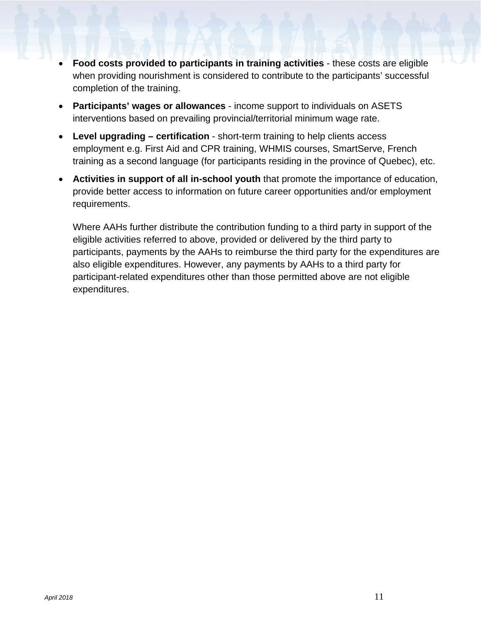- **Food costs provided to participants in training activities** these costs are eligible when providing nourishment is considered to contribute to the participants' successful completion of the training.
- **Participants' wages or allowances** income support to individuals on ASETS interventions based on prevailing provincial/territorial minimum wage rate.
- **Level upgrading – certification** short-term training to help clients access employment e.g. First Aid and CPR training, WHMIS courses, SmartServe, French training as a second language (for participants residing in the province of Quebec), etc.
- **Activities in support of all in-school youth** that promote the importance of education, provide better access to information on future career opportunities and/or employment requirements.

Where AAHs further distribute the contribution funding to a third party in support of the eligible activities referred to above, provided or delivered by the third party to participants, payments by the AAHs to reimburse the third party for the expenditures are also eligible expenditures. However, any payments by AAHs to a third party for participant-related expenditures other than those permitted above are not eligible expenditures.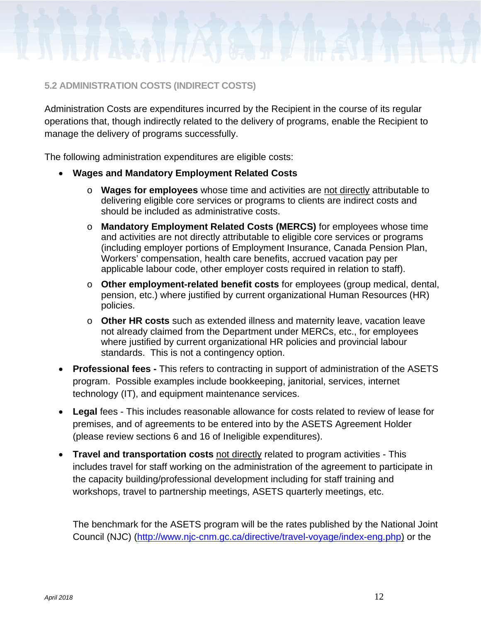

#### <span id="page-11-0"></span>**5.2 ADMINISTRATION COSTS (INDIRECT COSTS)**

Administration Costs are expenditures incurred by the Recipient in the course of its regular operations that, though indirectly related to the delivery of programs, enable the Recipient to manage the delivery of programs successfully.

The following administration expenditures are eligible costs:

- **Wages and Mandatory Employment Related Costs** 
	- o **Wages for employees** whose time and activities are not directly attributable to delivering eligible core services or programs to clients are indirect costs and should be included as administrative costs.
	- o **Mandatory Employment Related Costs (MERCS)** for employees whose time and activities are not directly attributable to eligible core services or programs (including employer portions of Employment Insurance, Canada Pension Plan, Workers' compensation, health care benefits, accrued vacation pay per applicable labour code, other employer costs required in relation to staff).
	- o **Other employment-related benefit costs** for employees (group medical, dental, pension, etc.) where justified by current organizational Human Resources (HR) policies.
	- o **Other HR costs** such as extended illness and maternity leave, vacation leave not already claimed from the Department under MERCs, etc., for employees where justified by current organizational HR policies and provincial labour standards. This is not a contingency option.
- **Professional fees -** This refers to contracting in support of administration of the ASETS program. Possible examples include bookkeeping, janitorial, services, internet technology (IT), and equipment maintenance services.
- **Legal** fees This includes reasonable allowance for costs related to review of lease for premises, and of agreements to be entered into by the ASETS Agreement Holder (please review sections 6 and 16 of Ineligible expenditures).
- **Travel and transportation costs** not directly related to program activities This includes travel for staff working on the administration of the agreement to participate in the capacity building/professional development including for staff training and workshops, travel to partnership meetings, ASETS quarterly meetings, etc.

The benchmark for the ASETS program will be the rates published by the National Joint Council (NJC) [\(http://www.njc-cnm.gc.ca/directive/travel-voyage/index-eng.php\)](http://www.njc-cnm.gc.ca/directive/travel-voyage/index-eng.php) or the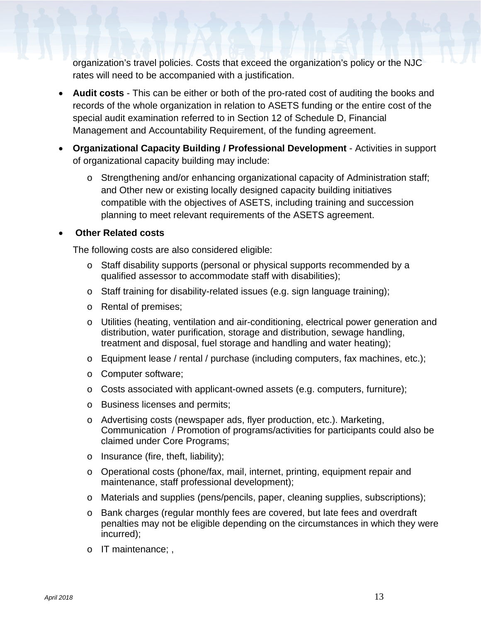organization's travel policies. Costs that exceed the organization's policy or the NJC rates will need to be accompanied with a justification.

- **Audit costs** This can be either or both of the pro-rated cost of auditing the books and records of the whole organization in relation to ASETS funding or the entire cost of the special audit examination referred to in Section 12 of Schedule D, Financial Management and Accountability Requirement, of the funding agreement.
- **Organizational Capacity Building / Professional Development** Activities in support of organizational capacity building may include:
	- o Strengthening and/or enhancing organizational capacity of Administration staff; and Other new or existing locally designed capacity building initiatives compatible with the objectives of ASETS, including training and succession planning to meet relevant requirements of the ASETS agreement.

#### • **Other Related costs**

The following costs are also considered eligible:

- o Staff disability supports (personal or physical supports recommended by a qualified assessor to accommodate staff with disabilities);
- o Staff training for disability-related issues (e.g. sign language training);
- o Rental of premises;
- o Utilities (heating, ventilation and air-conditioning, electrical power generation and distribution, water purification, storage and distribution, sewage handling, treatment and disposal, fuel storage and handling and water heating);
- o Equipment lease / rental / purchase (including computers, fax machines, etc.);
- o Computer software;
- o Costs associated with applicant-owned assets (e.g. computers, furniture);
- o Business licenses and permits;
- o Advertising costs (newspaper ads, flyer production, etc.). Marketing, Communication / Promotion of programs/activities for participants could also be claimed under Core Programs;
- o Insurance (fire, theft, liability);
- o Operational costs (phone/fax, mail, internet, printing, equipment repair and maintenance, staff professional development);
- o Materials and supplies (pens/pencils, paper, cleaning supplies, subscriptions);
- o Bank charges (regular monthly fees are covered, but late fees and overdraft penalties may not be eligible depending on the circumstances in which they were incurred);
- o IT maintenance; ,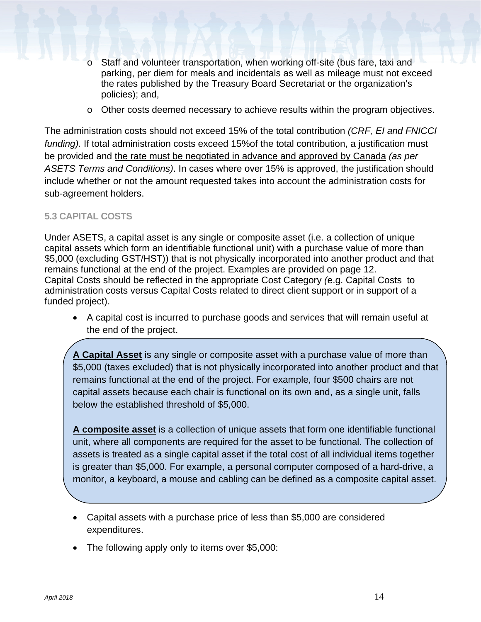- Staff and volunteer transportation, when working off-site (bus fare, taxi and parking, per diem for meals and incidentals as well as mileage must not exceed the rates published by the Treasury Board Secretariat or the organization's policies); and,
- o Other costs deemed necessary to achieve results within the program objectives.

The administration costs should not exceed 15% of the total contribution *(CRF, EI and FNICCI funding).* If total administration costs exceed 15%of the total contribution, a justification must be provided and the rate must be negotiated in advance and approved by Canada *(as per ASETS Terms and Conditions)*. In cases where over 15% is approved, the justification should include whether or not the amount requested takes into account the administration costs for sub-agreement holders.

#### <span id="page-13-0"></span>**5.3 CAPITAL COSTS**

Under ASETS, a capital asset is any single or composite asset (i.e. a collection of unique capital assets which form an identifiable functional unit) with a purchase value of more than \$5,000 (excluding GST/HST)) that is not physically incorporated into another product and that remains functional at the end of the project. Examples are provided on page 12. Capital Costs should be reflected in the appropriate Cost Category *(*e.g. Capital Costs to administration costs versus Capital Costs related to direct client support or in support of a funded project).

• A capital cost is incurred to purchase goods and services that will remain useful at the end of the project.

**A Capital Asset** is any single or composite asset with a purchase value of more than \$5,000 (taxes excluded) that is not physically incorporated into another product and that remains functional at the end of the project. For example, four \$500 chairs are not capital assets because each chair is functional on its own and, as a single unit, falls below the established threshold of \$5,000.

**A composite asset** is a collection of unique assets that form one identifiable functional unit, where all components are required for the asset to be functional. The collection of assets is treated as a single capital asset if the total cost of all individual items together is greater than \$5,000. For example, a personal computer composed of a hard-drive, a monitor, a keyboard, a mouse and cabling can be defined as a composite capital asset.

- Capital assets with a purchase price of less than \$5,000 are considered expenditures.
- The following apply only to items over \$5,000: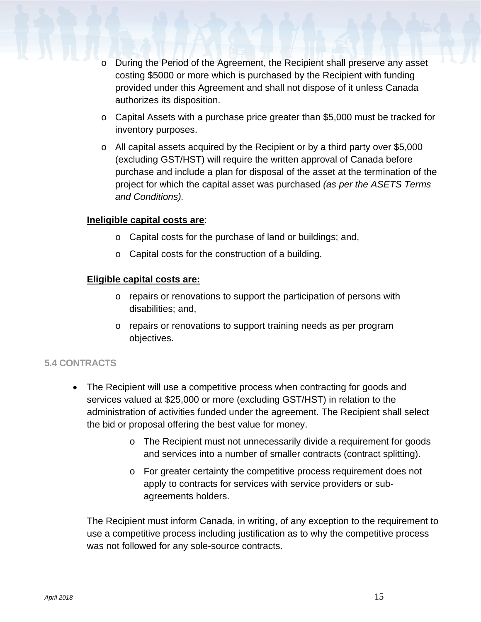- During the Period of the Agreement, the Recipient shall preserve any asset costing \$5000 or more which is purchased by the Recipient with funding provided under this Agreement and shall not dispose of it unless Canada authorizes its disposition.
- o Capital Assets with a purchase price greater than \$5,000 must be tracked for inventory purposes.
- o All capital assets acquired by the Recipient or by a third party over \$5,000 (excluding GST/HST) will require the written approval of Canada before purchase and include a plan for disposal of the asset at the termination of the project for which the capital asset was purchased *(as per the ASETS Terms and Conditions).*

#### **Ineligible capital costs are**:

- o Capital costs for the purchase of land or buildings; and,
- o Capital costs for the construction of a building.

#### **Eligible capital costs are:**

- o repairs or renovations to support the participation of persons with disabilities; and,
- o repairs or renovations to support training needs as per program objectives.

#### <span id="page-14-0"></span>**5.4 CONTRACTS**

- The Recipient will use a competitive process when contracting for goods and services valued at \$25,000 or more (excluding GST/HST) in relation to the administration of activities funded under the agreement. The Recipient shall select the bid or proposal offering the best value for money.
	- o The Recipient must not unnecessarily divide a requirement for goods and services into a number of smaller contracts (contract splitting).
	- o For greater certainty the competitive process requirement does not apply to contracts for services with service providers or subagreements holders.

The Recipient must inform Canada, in writing, of any exception to the requirement to use a competitive process including justification as to why the competitive process was not followed for any sole-source contracts.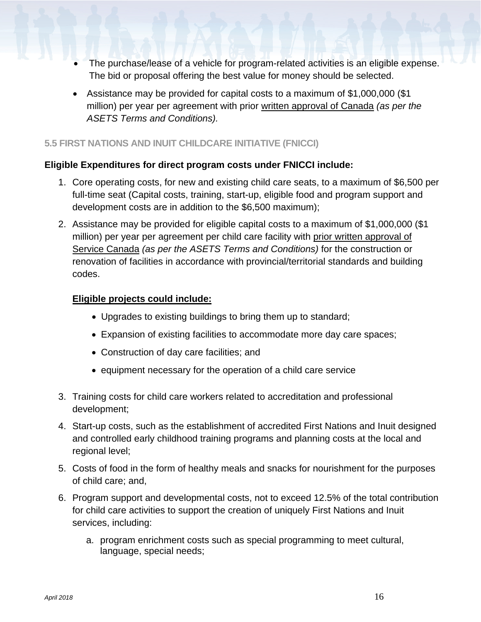- The purchase/lease of a vehicle for program-related activities is an eligible expense. The bid or proposal offering the best value for money should be selected.
- Assistance may be provided for capital costs to a maximum of \$1,000,000 (\$1 million) per year per agreement with prior written approval of Canada *(as per the ASETS Terms and Conditions).*

#### <span id="page-15-0"></span>**5.5 FIRST NATIONS AND INUIT CHILDCARE INITIATIVE (FNICCI)**

#### **Eligible Expenditures for direct program costs under FNICCI include:**

- 1. Core operating costs, for new and existing child care seats, to a maximum of \$6,500 per full-time seat (Capital costs, training, start-up, eligible food and program support and development costs are in addition to the \$6,500 maximum);
- 2. Assistance may be provided for eligible capital costs to a maximum of \$1,000,000 (\$1 million) per year per agreement per child care facility with prior written approval of Service Canada *(as per the ASETS Terms and Conditions)* for the construction or renovation of facilities in accordance with provincial/territorial standards and building codes.

#### **Eligible projects could include:**

- Upgrades to existing buildings to bring them up to standard;
- Expansion of existing facilities to accommodate more day care spaces;
- Construction of day care facilities; and
- equipment necessary for the operation of a child care service
- 3. Training costs for child care workers related to accreditation and professional development;
- 4. Start-up costs, such as the establishment of accredited First Nations and Inuit designed and controlled early childhood training programs and planning costs at the local and regional level;
- 5. Costs of food in the form of healthy meals and snacks for nourishment for the purposes of child care; and,
- 6. Program support and developmental costs, not to exceed 12.5% of the total contribution for child care activities to support the creation of uniquely First Nations and Inuit services, including:
	- a. program enrichment costs such as special programming to meet cultural, language, special needs;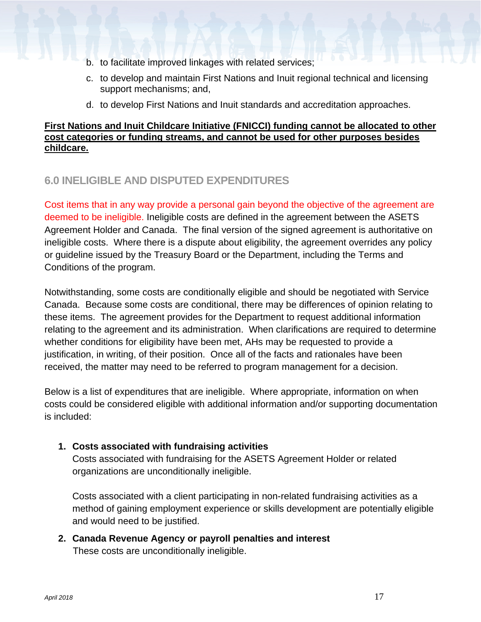- b. to facilitate improved linkages with related services;
- c. to develop and maintain First Nations and Inuit regional technical and licensing support mechanisms; and,
- d. to develop First Nations and Inuit standards and accreditation approaches.

#### **First Nations and Inuit Childcare Initiative (FNICCI) funding cannot be allocated to other cost categories or funding streams, and cannot be used for other purposes besides childcare.**

## <span id="page-16-0"></span>**6.0 INELIGIBLE AND DISPUTED EXPENDITURES**

Cost items that in any way provide a personal gain beyond the objective of the agreement are deemed to be ineligible. Ineligible costs are defined in the agreement between the ASETS Agreement Holder and Canada. The final version of the signed agreement is authoritative on ineligible costs. Where there is a dispute about eligibility, the agreement overrides any policy or guideline issued by the Treasury Board or the Department, including the Terms and Conditions of the program.

Notwithstanding, some costs are conditionally eligible and should be negotiated with Service Canada. Because some costs are conditional, there may be differences of opinion relating to these items. The agreement provides for the Department to request additional information relating to the agreement and its administration. When clarifications are required to determine whether conditions for eligibility have been met, AHs may be requested to provide a justification, in writing, of their position. Once all of the facts and rationales have been received, the matter may need to be referred to program management for a decision.

Below is a list of expenditures that are ineligible. Where appropriate, information on when costs could be considered eligible with additional information and/or supporting documentation is included:

#### **1. Costs associated with fundraising activities**

Costs associated with fundraising for the ASETS Agreement Holder or related organizations are unconditionally ineligible.

Costs associated with a client participating in non-related fundraising activities as a method of gaining employment experience or skills development are potentially eligible and would need to be justified.

**2. Canada Revenue Agency or payroll penalties and interest** These costs are unconditionally ineligible.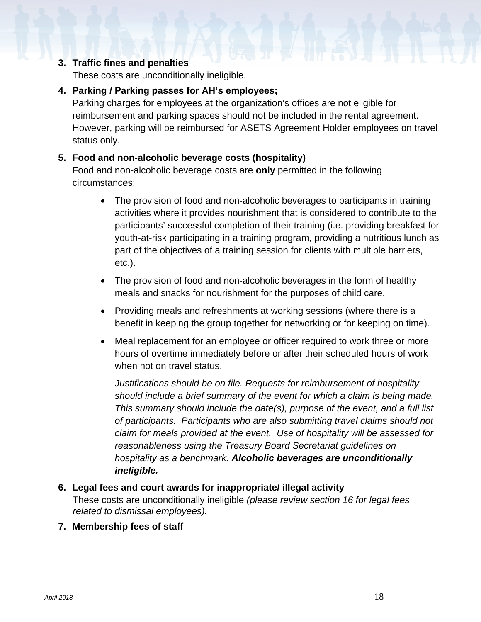### **3. Traffic fines and penalties**

These costs are unconditionally ineligible.

#### **4. Parking / Parking passes for AH's employees;**

Parking charges for employees at the organization's offices are not eligible for reimbursement and parking spaces should not be included in the rental agreement. However, parking will be reimbursed for ASETS Agreement Holder employees on travel status only.

#### **5. Food and non-alcoholic beverage costs (hospitality)**

Food and non-alcoholic beverage costs are **only** permitted in the following circumstances:

- The provision of food and non-alcoholic beverages to participants in training activities where it provides nourishment that is considered to contribute to the participants' successful completion of their training (i.e. providing breakfast for youth-at-risk participating in a training program, providing a nutritious lunch as part of the objectives of a training session for clients with multiple barriers, etc.).
- The provision of food and non-alcoholic beverages in the form of healthy meals and snacks for nourishment for the purposes of child care.
- Providing meals and refreshments at working sessions (where there is a benefit in keeping the group together for networking or for keeping on time).
- Meal replacement for an employee or officer required to work three or more hours of overtime immediately before or after their scheduled hours of work when not on travel status.

*Justifications should be on file. Requests for reimbursement of hospitality should include a brief summary of the event for which a claim is being made. This summary should include the date(s), purpose of the event, and a full list of participants. Participants who are also submitting travel claims should not claim for meals provided at the event. Use of hospitality will be assessed for reasonableness using the Treasury Board Secretariat guidelines on hospitality as a benchmark. Alcoholic beverages are unconditionally ineligible.*

#### **6. Legal fees and court awards for inappropriate/ illegal activity**

These costs are unconditionally ineligible *(please review section 16 for legal fees related to dismissal employees).*

#### **7. Membership fees of staff**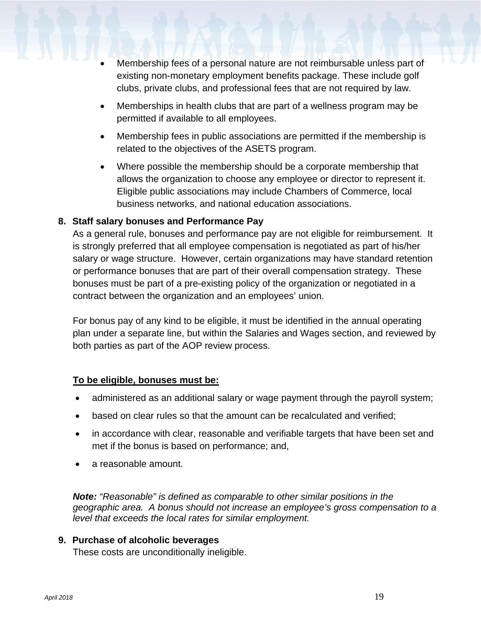- Membership fees of a personal nature are not reimbursable unless part of existing non-monetary employment benefits package. These include golf clubs, private clubs, and professional fees that are not required by law.
- Memberships in health clubs that are part of a wellness program may be permitted if available to all employees.
- Membership fees in public associations are permitted if the membership is related to the objectives of the ASETS program.
- Where possible the membership should be a corporate membership that allows the organization to choose any employee or director to represent it. Eligible public associations may include Chambers of Commerce, local business networks, and national education associations.

#### **8. Staff salary bonuses and Performance Pay**

As a general rule, bonuses and performance pay are not eligible for reimbursement. It is strongly preferred that all employee compensation is negotiated as part of his/her salary or wage structure. However, certain organizations may have standard retention or performance bonuses that are part of their overall compensation strategy. These bonuses must be part of a pre-existing policy of the organization or negotiated in a contract between the organization and an employees' union.

For bonus pay of any kind to be eligible, it must be identified in the annual operating plan under a separate line, but within the Salaries and Wages section, and reviewed by both parties as part of the AOP review process.

#### **To be eligible, bonuses must be:**

- administered as an additional salary or wage payment through the payroll system;
- based on clear rules so that the amount can be recalculated and verified;
- in accordance with clear, reasonable and verifiable targets that have been set and met if the bonus is based on performance; and,
- a reasonable amount.

*Note: "Reasonable" is defined as comparable to other similar positions in the geographic area. A bonus should not increase an employee's gross compensation to a level that exceeds the local rates for similar employment.*

#### **9. Purchase of alcoholic beverages**

These costs are unconditionally ineligible.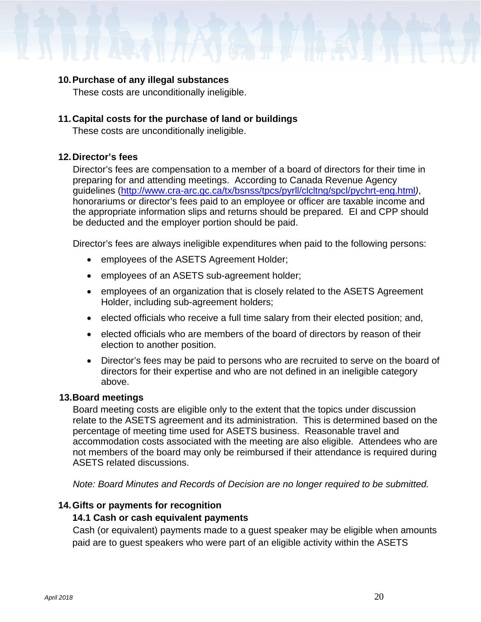#### **10.Purchase of any illegal substances**

These costs are unconditionally ineligible.

#### **11.Capital costs for the purchase of land or buildings**

These costs are unconditionally ineligible.

#### **12.Director's fees**

Director's fees are compensation to a member of a board of directors for their time in preparing for and attending meetings. According to Canada Revenue Agency guidelines [\(http://www.cra-arc.gc.ca/tx/bsnss/tpcs/pyrll/clcltng/spcl/pychrt-eng.html](http://www.cra-arc.gc.ca/tx/bsnss/tpcs/pyrll/clcltng/spcl/pychrt-eng.html)*)*, honorariums or director's fees paid to an employee or officer are taxable income and the appropriate information slips and returns should be prepared. EI and CPP should be deducted and the employer portion should be paid.

Director's fees are always ineligible expenditures when paid to the following persons:

- employees of the ASETS Agreement Holder;
- employees of an ASETS sub-agreement holder;
- employees of an organization that is closely related to the ASETS Agreement Holder, including sub-agreement holders;
- elected officials who receive a full time salary from their elected position; and,
- elected officials who are members of the board of directors by reason of their election to another position.
- Director's fees may be paid to persons who are recruited to serve on the board of directors for their expertise and who are not defined in an ineligible category above.

#### **13.Board meetings**

Board meeting costs are eligible only to the extent that the topics under discussion relate to the ASETS agreement and its administration. This is determined based on the percentage of meeting time used for ASETS business. Reasonable travel and accommodation costs associated with the meeting are also eligible. Attendees who are not members of the board may only be reimbursed if their attendance is required during ASETS related discussions.

*Note: Board Minutes and Records of Decision are no longer required to be submitted.*

#### **14.Gifts or payments for recognition**

#### **14.1 Cash or cash equivalent payments**

Cash (or equivalent) payments made to a guest speaker may be eligible when amounts paid are to guest speakers who were part of an eligible activity within the ASETS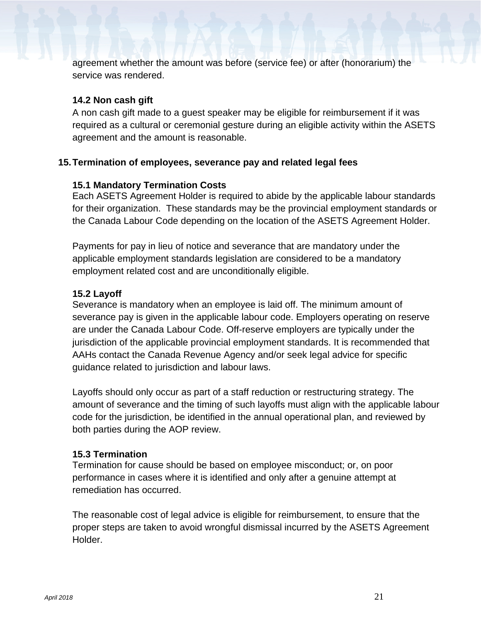agreement whether the amount was before (service fee) or after (honorarium) the service was rendered.

#### **14.2 Non cash gift**

A non cash gift made to a guest speaker may be eligible for reimbursement if it was required as a cultural or ceremonial gesture during an eligible activity within the ASETS agreement and the amount is reasonable.

#### **15.Termination of employees, severance pay and related legal fees**

#### **15.1 Mandatory Termination Costs**

Each ASETS Agreement Holder is required to abide by the applicable labour standards for their organization. These standards may be the provincial employment standards or the Canada Labour Code depending on the location of the ASETS Agreement Holder.

Payments for pay in lieu of notice and severance that are mandatory under the applicable employment standards legislation are considered to be a mandatory employment related cost and are unconditionally eligible.

#### **15.2 Layoff**

Severance is mandatory when an employee is laid off. The minimum amount of severance pay is given in the applicable labour code. Employers operating on reserve are under the Canada Labour Code. Off-reserve employers are typically under the jurisdiction of the applicable provincial employment standards. It is recommended that AAHs contact the Canada Revenue Agency and/or seek legal advice for specific guidance related to jurisdiction and labour laws.

Layoffs should only occur as part of a staff reduction or restructuring strategy. The amount of severance and the timing of such layoffs must align with the applicable labour code for the jurisdiction, be identified in the annual operational plan, and reviewed by both parties during the AOP review.

#### **15.3 Termination**

Termination for cause should be based on employee misconduct; or, on poor performance in cases where it is identified and only after a genuine attempt at remediation has occurred.

The reasonable cost of legal advice is eligible for reimbursement, to ensure that the proper steps are taken to avoid wrongful dismissal incurred by the ASETS Agreement Holder.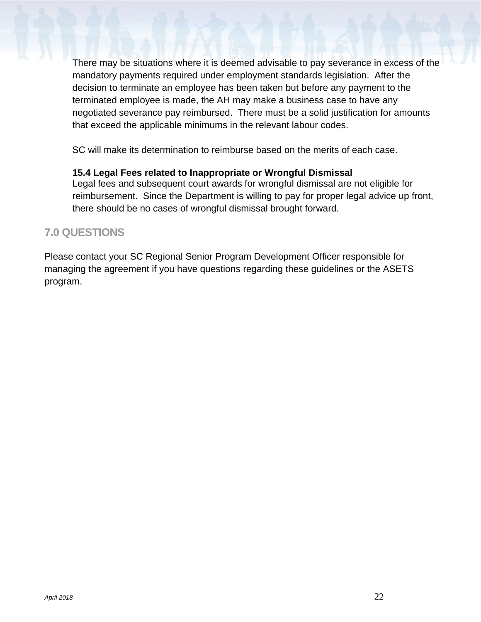There may be situations where it is deemed advisable to pay severance in excess of the mandatory payments required under employment standards legislation. After the decision to terminate an employee has been taken but before any payment to the terminated employee is made, the AH may make a business case to have any negotiated severance pay reimbursed. There must be a solid justification for amounts that exceed the applicable minimums in the relevant labour codes.

SC will make its determination to reimburse based on the merits of each case.

#### **15.4 Legal Fees related to Inappropriate or Wrongful Dismissal**

Legal fees and subsequent court awards for wrongful dismissal are not eligible for reimbursement. Since the Department is willing to pay for proper legal advice up front, there should be no cases of wrongful dismissal brought forward.

### <span id="page-21-0"></span>**7.0 QUESTIONS**

Please contact your SC Regional Senior Program Development Officer responsible for managing the agreement if you have questions regarding these guidelines or the ASETS program.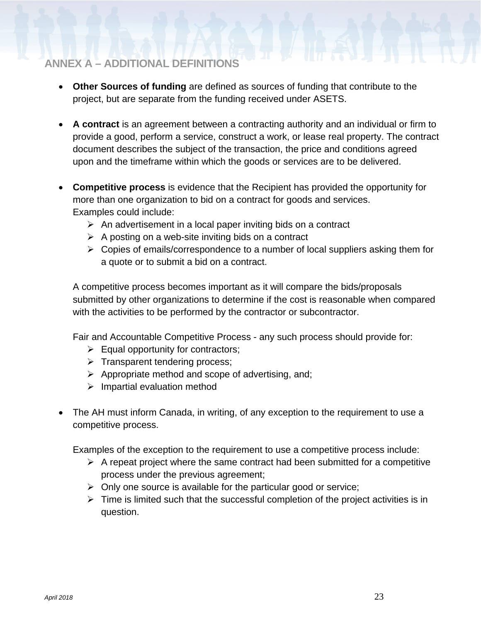# <span id="page-22-0"></span>**ANNEX A – ADDITIONAL DEFINITIONS**

- **Other Sources of funding** are defined as sources of funding that contribute to the project, but are separate from the funding received under ASETS.
- **A contract** is an agreement between a contracting authority and an individual or firm to provide a good, perform a service, construct a work, or lease real property. The contract document describes the subject of the transaction, the price and conditions agreed upon and the timeframe within which the goods or services are to be delivered.
- **Competitive process** is evidence that the Recipient has provided the opportunity for more than one organization to bid on a contract for goods and services. Examples could include:
	- $\triangleright$  An advertisement in a local paper inviting bids on a contract
	- $\triangleright$  A posting on a web-site inviting bids on a contract
	- $\triangleright$  Copies of emails/correspondence to a number of local suppliers asking them for a quote or to submit a bid on a contract.

A competitive process becomes important as it will compare the bids/proposals submitted by other organizations to determine if the cost is reasonable when compared with the activities to be performed by the contractor or subcontractor.

Fair and Accountable Competitive Process - any such process should provide for:

- $\triangleright$  Equal opportunity for contractors;
- $\triangleright$  Transparent tendering process;
- $\triangleright$  Appropriate method and scope of advertising, and;
- $\triangleright$  Impartial evaluation method
- The AH must inform Canada, in writing, of any exception to the requirement to use a competitive process.

Examples of the exception to the requirement to use a competitive process include:

- $\triangleright$  A repeat project where the same contract had been submitted for a competitive process under the previous agreement;
- $\triangleright$  Only one source is available for the particular good or service;
- $\triangleright$  Time is limited such that the successful completion of the project activities is in question.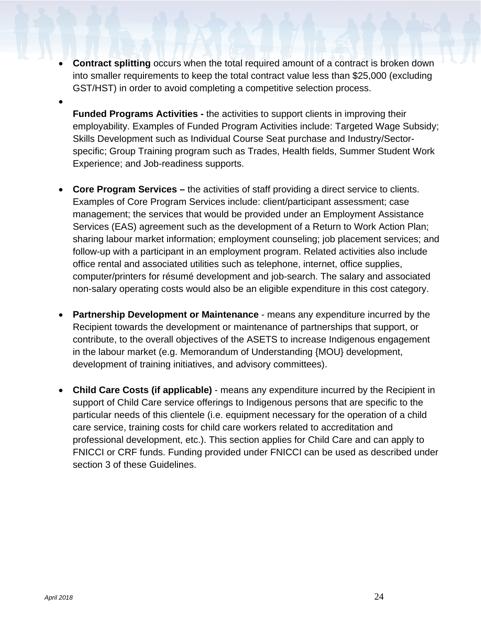- **Contract splitting** occurs when the total required amount of a contract is broken down into smaller requirements to keep the total contract value less than \$25,000 (excluding GST/HST) in order to avoid completing a competitive selection process.
	- **Funded Programs Activities -** the activities to support clients in improving their employability. Examples of Funded Program Activities include: Targeted Wage Subsidy; Skills Development such as Individual Course Seat purchase and Industry/Sectorspecific; Group Training program such as Trades, Health fields, Summer Student Work Experience; and Job-readiness supports.
- **Core Program Services –** the activities of staff providing a direct service to clients. Examples of Core Program Services include: client/participant assessment; case management; the services that would be provided under an Employment Assistance Services (EAS) agreement such as the development of a Return to Work Action Plan; sharing labour market information; employment counseling; job placement services; and follow-up with a participant in an employment program. Related activities also include office rental and associated utilities such as telephone, internet, office supplies, computer/printers for résumé development and job-search. The salary and associated non-salary operating costs would also be an eligible expenditure in this cost category.
- **Partnership Development or Maintenance** means any expenditure incurred by the Recipient towards the development or maintenance of partnerships that support, or contribute, to the overall objectives of the ASETS to increase Indigenous engagement in the labour market (e.g. Memorandum of Understanding {MOU} development, development of training initiatives, and advisory committees).
- **Child Care Costs (if applicable)** means any expenditure incurred by the Recipient in support of Child Care service offerings to Indigenous persons that are specific to the particular needs of this clientele (i.e. equipment necessary for the operation of a child care service, training costs for child care workers related to accreditation and professional development, etc.). This section applies for Child Care and can apply to FNICCI or CRF funds. Funding provided under FNICCI can be used as described under section 3 of these Guidelines.

•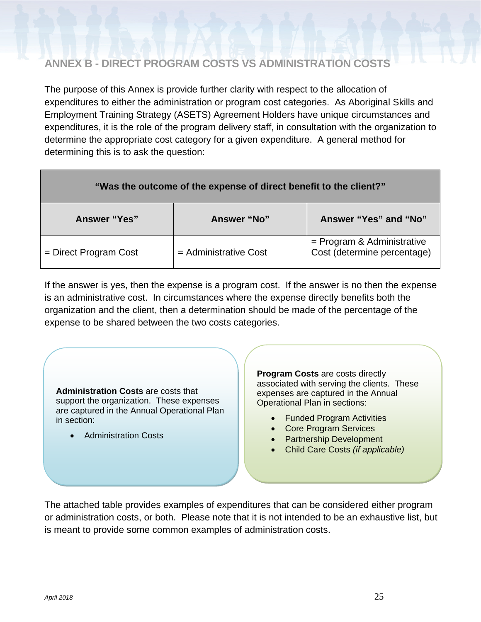## <span id="page-24-0"></span>**ANNEX B - DIRECT PROGRAM COSTS VS ADMINISTRATION COSTS**

The purpose of this Annex is provide further clarity with respect to the allocation of expenditures to either the administration or program cost categories. As Aboriginal Skills and Employment Training Strategy (ASETS) Agreement Holders have unique circumstances and expenditures, it is the role of the program delivery staff, in consultation with the organization to determine the appropriate cost category for a given expenditure. A general method for determining this is to ask the question:

| "Was the outcome of the expense of direct benefit to the client?" |                         |                                                           |  |  |
|-------------------------------------------------------------------|-------------------------|-----------------------------------------------------------|--|--|
| <b>Answer "Yes"</b>                                               | <b>Answer "No"</b>      | Answer "Yes" and "No"                                     |  |  |
| $=$ Direct Program Cost                                           | $=$ Administrative Cost | = Program & Administrative<br>Cost (determine percentage) |  |  |

If the answer is yes, then the expense is a program cost. If the answer is no then the expense is an administrative cost. In circumstances where the expense directly benefits both the organization and the client, then a determination should be made of the percentage of the expense to be shared between the two costs categories.

**Administration Costs** are costs that support the organization. These expenses are captured in the Annual Operational Plan in section:

• Administration Costs

**Program Costs** are costs directly associated with serving the clients. These expenses are captured in the Annual Operational Plan in sections:

- Funded Program Activities
- Core Program Services
- Partnership Development
- Child Care Costs *(if applicable)*

The attached table provides examples of expenditures that can be considered either program or administration costs, or both. Please note that it is not intended to be an exhaustive list, but is meant to provide some common examples of administration costs.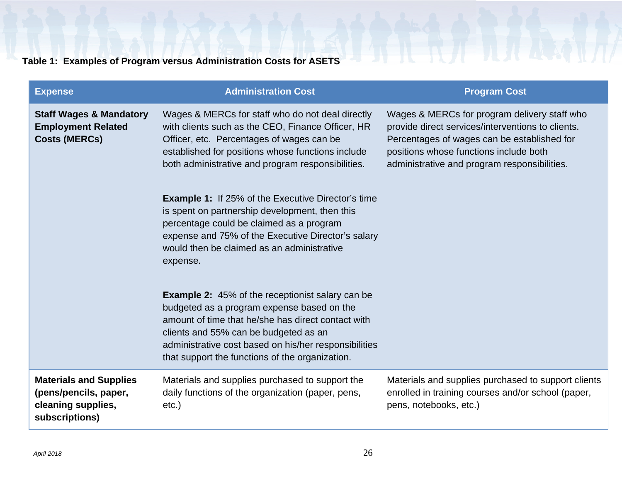# **Table 1: Examples of Program versus Administration Costs for ASETS**

| <b>Expense</b>                                                                                 | <b>Administration Cost</b>                                                                                                                                                                                                                                                                                       | <b>Program Cost</b>                                                                                                                                                                                                                        |
|------------------------------------------------------------------------------------------------|------------------------------------------------------------------------------------------------------------------------------------------------------------------------------------------------------------------------------------------------------------------------------------------------------------------|--------------------------------------------------------------------------------------------------------------------------------------------------------------------------------------------------------------------------------------------|
| <b>Staff Wages &amp; Mandatory</b><br><b>Employment Related</b><br><b>Costs (MERCs)</b>        | Wages & MERCs for staff who do not deal directly<br>with clients such as the CEO, Finance Officer, HR<br>Officer, etc. Percentages of wages can be<br>established for positions whose functions include<br>both administrative and program responsibilities.                                                     | Wages & MERCs for program delivery staff who<br>provide direct services/interventions to clients.<br>Percentages of wages can be established for<br>positions whose functions include both<br>administrative and program responsibilities. |
|                                                                                                | <b>Example 1:</b> If 25% of the Executive Director's time<br>is spent on partnership development, then this<br>percentage could be claimed as a program<br>expense and 75% of the Executive Director's salary<br>would then be claimed as an administrative<br>expense.                                          |                                                                                                                                                                                                                                            |
|                                                                                                | <b>Example 2:</b> 45% of the receptionist salary can be<br>budgeted as a program expense based on the<br>amount of time that he/she has direct contact with<br>clients and 55% can be budgeted as an<br>administrative cost based on his/her responsibilities<br>that support the functions of the organization. |                                                                                                                                                                                                                                            |
| <b>Materials and Supplies</b><br>(pens/pencils, paper,<br>cleaning supplies,<br>subscriptions) | Materials and supplies purchased to support the<br>daily functions of the organization (paper, pens,<br>$etc.$ )                                                                                                                                                                                                 | Materials and supplies purchased to support clients<br>enrolled in training courses and/or school (paper,<br>pens, notebooks, etc.)                                                                                                        |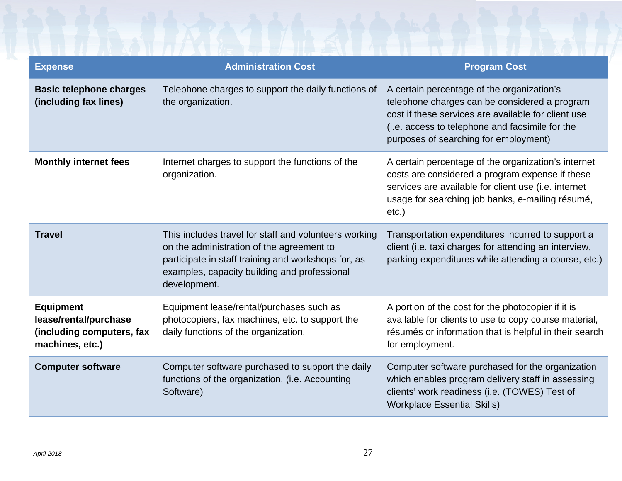| <b>Expense</b>                                                                            | <b>Administration Cost</b>                                                                                                                                                                                                | <b>Program Cost</b>                                                                                                                                                                                                                            |
|-------------------------------------------------------------------------------------------|---------------------------------------------------------------------------------------------------------------------------------------------------------------------------------------------------------------------------|------------------------------------------------------------------------------------------------------------------------------------------------------------------------------------------------------------------------------------------------|
| <b>Basic telephone charges</b><br>(including fax lines)                                   | Telephone charges to support the daily functions of<br>the organization.                                                                                                                                                  | A certain percentage of the organization's<br>telephone charges can be considered a program<br>cost if these services are available for client use<br>(i.e. access to telephone and facsimile for the<br>purposes of searching for employment) |
| <b>Monthly internet fees</b>                                                              | Internet charges to support the functions of the<br>organization.                                                                                                                                                         | A certain percentage of the organization's internet<br>costs are considered a program expense if these<br>services are available for client use (i.e. internet<br>usage for searching job banks, e-mailing résumé,<br>$etc.$ )                 |
| <b>Travel</b>                                                                             | This includes travel for staff and volunteers working<br>on the administration of the agreement to<br>participate in staff training and workshops for, as<br>examples, capacity building and professional<br>development. | Transportation expenditures incurred to support a<br>client (i.e. taxi charges for attending an interview,<br>parking expenditures while attending a course, etc.)                                                                             |
| <b>Equipment</b><br>lease/rental/purchase<br>(including computers, fax<br>machines, etc.) | Equipment lease/rental/purchases such as<br>photocopiers, fax machines, etc. to support the<br>daily functions of the organization.                                                                                       | A portion of the cost for the photocopier if it is<br>available for clients to use to copy course material,<br>résumés or information that is helpful in their search<br>for employment.                                                       |
| <b>Computer software</b>                                                                  | Computer software purchased to support the daily<br>functions of the organization. (i.e. Accounting<br>Software)                                                                                                          | Computer software purchased for the organization<br>which enables program delivery staff in assessing<br>clients' work readiness (i.e. (TOWES) Test of<br><b>Workplace Essential Skills)</b>                                                   |